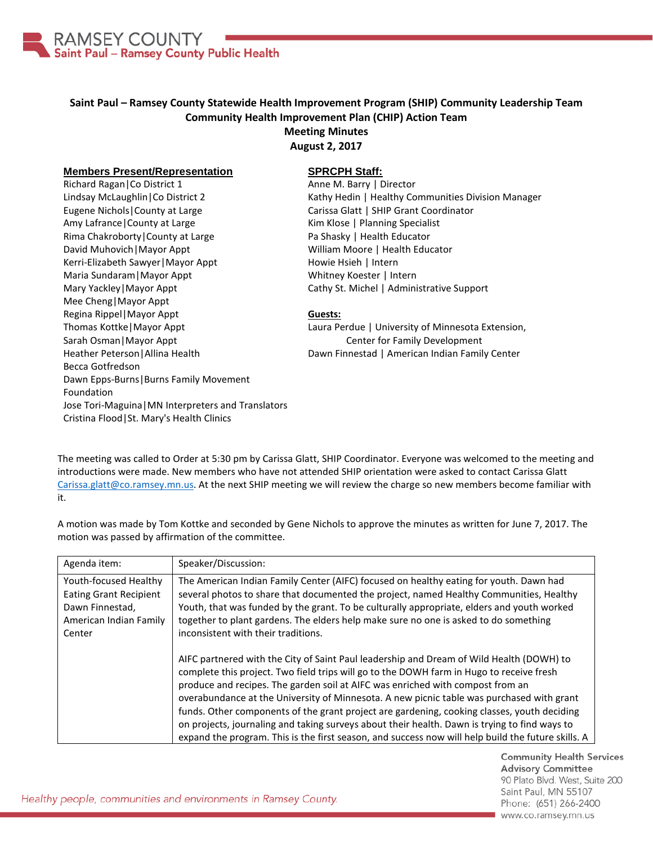

## **Saint Paul – Ramsey County Statewide Health Improvement Program (SHIP) Community Leadership Team Community Health Improvement Plan (CHIP) Action Team Meeting Minutes**

**August 2, 2017**

## **Members Present/Representation**

Richard Ragan|Co District 1 Lindsay McLaughlin|Co District 2 Eugene Nichols|County at Large Amy Lafrance|County at Large Rima Chakroborty|County at Large David Muhovich|Mayor Appt Kerri-Elizabeth Sawyer|Mayor Appt Maria Sundaram|Mayor Appt Mary Yackley|Mayor Appt Mee Cheng|Mayor Appt Regina Rippel|Mayor Appt Thomas Kottke|Mayor Appt Sarah Osman|Mayor Appt Heather Peterson|Allina Health Becca Gotfredson Dawn Epps-Burns|Burns Family Movement Foundation Jose Tori-Maguina|MN Interpreters and Translators Cristina Flood|St. Mary's Health Clinics

## **SPRCPH Staff:**

Anne M. Barry | Director Kathy Hedin | Healthy Communities Division Manager Carissa Glatt | SHIP Grant Coordinator Kim Klose | Planning Specialist Pa Shasky | Health Educator William Moore | Health Educator Howie Hsieh | Intern Whitney Koester | Intern Cathy St. Michel | Administrative Support

## **Guests:**

Laura Perdue | University of Minnesota Extension, Center for Family Development Dawn Finnestad | American Indian Family Center

The meeting was called to Order at 5:30 pm by Carissa Glatt, SHIP Coordinator. Everyone was welcomed to the meeting and introductions were made. New members who have not attended SHIP orientation were asked to contact Carissa Glatt [Carissa.glatt@co.ramsey.mn.us.](mailto:Carissa.glatt@co.ramsey.mn.us) At the next SHIP meeting we will review the charge so new members become familiar with it.

A motion was made by Tom Kottke and seconded by Gene Nichols to approve the minutes as written for June 7, 2017. The motion was passed by affirmation of the committee.

| Agenda item:                                                                                                  | Speaker/Discussion:                                                                                                                                                                                                                                                                                                                                                                                                                                                                                                                                                                                                                                                       |
|---------------------------------------------------------------------------------------------------------------|---------------------------------------------------------------------------------------------------------------------------------------------------------------------------------------------------------------------------------------------------------------------------------------------------------------------------------------------------------------------------------------------------------------------------------------------------------------------------------------------------------------------------------------------------------------------------------------------------------------------------------------------------------------------------|
| Youth-focused Healthy<br><b>Eating Grant Recipient</b><br>Dawn Finnestad,<br>American Indian Family<br>Center | The American Indian Family Center (AIFC) focused on healthy eating for youth. Dawn had<br>several photos to share that documented the project, named Healthy Communities, Healthy<br>Youth, that was funded by the grant. To be culturally appropriate, elders and youth worked<br>together to plant gardens. The elders help make sure no one is asked to do something<br>inconsistent with their traditions.                                                                                                                                                                                                                                                            |
|                                                                                                               | AIFC partnered with the City of Saint Paul leadership and Dream of Wild Health (DOWH) to<br>complete this project. Two field trips will go to the DOWH farm in Hugo to receive fresh<br>produce and recipes. The garden soil at AIFC was enriched with compost from an<br>overabundance at the University of Minnesota. A new picnic table was purchased with grant<br>funds. Other components of the grant project are gardening, cooking classes, youth deciding<br>on projects, journaling and taking surveys about their health. Dawn is trying to find ways to<br>expand the program. This is the first season, and success now will help build the future skills. A |

**Community Health Services Advisory Committee** 90 Plato Blvd. West, Suite 200 Saint Paul, MN 55107 Phone: (651) 266-2400 www.co.ramsey.mn.us

Healthy people, communities and environments in Ramsey County.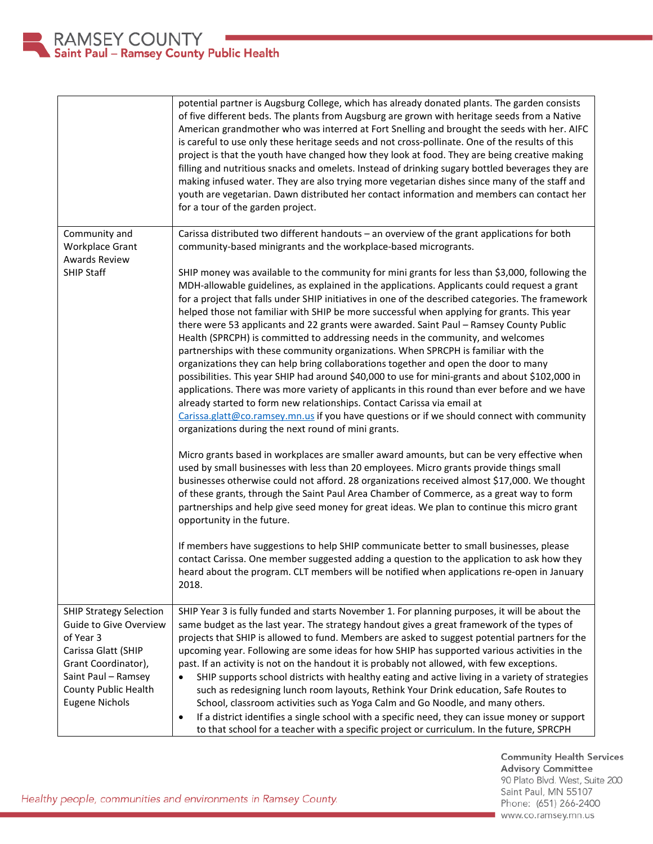

|                                                                                                                                                                                             | potential partner is Augsburg College, which has already donated plants. The garden consists<br>of five different beds. The plants from Augsburg are grown with heritage seeds from a Native<br>American grandmother who was interred at Fort Snelling and brought the seeds with her. AIFC<br>is careful to use only these heritage seeds and not cross-pollinate. One of the results of this<br>project is that the youth have changed how they look at food. They are being creative making<br>filling and nutritious snacks and omelets. Instead of drinking sugary bottled beverages they are<br>making infused water. They are also trying more vegetarian dishes since many of the staff and<br>youth are vegetarian. Dawn distributed her contact information and members can contact her<br>for a tour of the garden project.                                                                                                                                                                                                                                                                                                                                                                                                                                                                                                                                                                                                                                                                                                                                                                                                                                                                                                                                                                                                                                                                                                                                                                                                                                                                                                                                             |
|---------------------------------------------------------------------------------------------------------------------------------------------------------------------------------------------|------------------------------------------------------------------------------------------------------------------------------------------------------------------------------------------------------------------------------------------------------------------------------------------------------------------------------------------------------------------------------------------------------------------------------------------------------------------------------------------------------------------------------------------------------------------------------------------------------------------------------------------------------------------------------------------------------------------------------------------------------------------------------------------------------------------------------------------------------------------------------------------------------------------------------------------------------------------------------------------------------------------------------------------------------------------------------------------------------------------------------------------------------------------------------------------------------------------------------------------------------------------------------------------------------------------------------------------------------------------------------------------------------------------------------------------------------------------------------------------------------------------------------------------------------------------------------------------------------------------------------------------------------------------------------------------------------------------------------------------------------------------------------------------------------------------------------------------------------------------------------------------------------------------------------------------------------------------------------------------------------------------------------------------------------------------------------------------------------------------------------------------------------------------------------------|
| Community and<br><b>Workplace Grant</b><br><b>Awards Review</b><br><b>SHIP Staff</b>                                                                                                        | Carissa distributed two different handouts - an overview of the grant applications for both<br>community-based minigrants and the workplace-based microgrants.<br>SHIP money was available to the community for mini grants for less than \$3,000, following the<br>MDH-allowable guidelines, as explained in the applications. Applicants could request a grant<br>for a project that falls under SHIP initiatives in one of the described categories. The framework<br>helped those not familiar with SHIP be more successful when applying for grants. This year<br>there were 53 applicants and 22 grants were awarded. Saint Paul - Ramsey County Public<br>Health (SPRCPH) is committed to addressing needs in the community, and welcomes<br>partnerships with these community organizations. When SPRCPH is familiar with the<br>organizations they can help bring collaborations together and open the door to many<br>possibilities. This year SHIP had around \$40,000 to use for mini-grants and about \$102,000 in<br>applications. There was more variety of applicants in this round than ever before and we have<br>already started to form new relationships. Contact Carissa via email at<br>Carissa.glatt@co.ramsey.mn.us if you have questions or if we should connect with community<br>organizations during the next round of mini grants.<br>Micro grants based in workplaces are smaller award amounts, but can be very effective when<br>used by small businesses with less than 20 employees. Micro grants provide things small<br>businesses otherwise could not afford. 28 organizations received almost \$17,000. We thought<br>of these grants, through the Saint Paul Area Chamber of Commerce, as a great way to form<br>partnerships and help give seed money for great ideas. We plan to continue this micro grant<br>opportunity in the future.<br>If members have suggestions to help SHIP communicate better to small businesses, please<br>contact Carissa. One member suggested adding a question to the application to ask how they<br>heard about the program. CLT members will be notified when applications re-open in January<br>2018. |
| <b>SHIP Strategy Selection</b><br>Guide to Give Overview<br>of Year 3<br>Carissa Glatt (SHIP<br>Grant Coordinator),<br>Saint Paul - Ramsey<br>County Public Health<br><b>Eugene Nichols</b> | SHIP Year 3 is fully funded and starts November 1. For planning purposes, it will be about the<br>same budget as the last year. The strategy handout gives a great framework of the types of<br>projects that SHIP is allowed to fund. Members are asked to suggest potential partners for the<br>upcoming year. Following are some ideas for how SHIP has supported various activities in the<br>past. If an activity is not on the handout it is probably not allowed, with few exceptions.<br>SHIP supports school districts with healthy eating and active living in a variety of strategies<br>such as redesigning lunch room layouts, Rethink Your Drink education, Safe Routes to<br>School, classroom activities such as Yoga Calm and Go Noodle, and many others.<br>If a district identifies a single school with a specific need, they can issue money or support<br>٠<br>to that school for a teacher with a specific project or curriculum. In the future, SPRCPH                                                                                                                                                                                                                                                                                                                                                                                                                                                                                                                                                                                                                                                                                                                                                                                                                                                                                                                                                                                                                                                                                                                                                                                                     |

Community Health Services<br>Advisory Committee 90 Plato Blvd. West, Suite 200 Saint Paul, MN 55107 Phone: (651) 266-2400 www.co.ramsey.mn.us

Healthy people, communities and environments in Ramsey County.